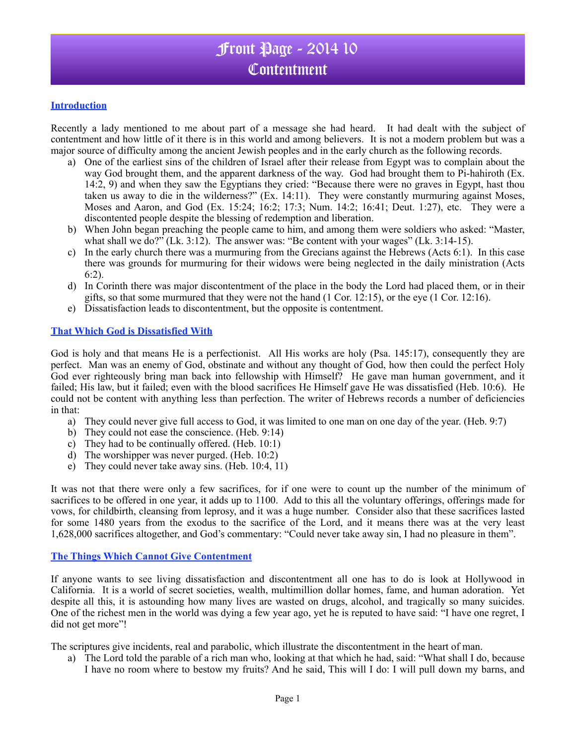### **Introduction**

Recently a lady mentioned to me about part of a message she had heard. It had dealt with the subject of contentment and how little of it there is in this world and among believers. It is not a modern problem but was a major source of difficulty among the ancient Jewish peoples and in the early church as the following records.

- a) One of the earliest sins of the children of Israel after their release from Egypt was to complain about the way God brought them, and the apparent darkness of the way. God had brought them to Pi-hahiroth (Ex. 14:2, 9) and when they saw the Egyptians they cried: "Because there were no graves in Egypt, hast thou taken us away to die in the wilderness?" (Ex. 14:11). They were constantly murmuring against Moses, Moses and Aaron, and God (Ex. 15:24; 16:2; 17:3; Num. 14:2; 16:41; Deut. 1:27), etc. They were a discontented people despite the blessing of redemption and liberation.
- b) When John began preaching the people came to him, and among them were soldiers who asked: "Master, what shall we do?" (Lk.  $3:12$ ). The answer was: "Be content with your wages" (Lk.  $3:14-15$ ).
- c) In the early church there was a murmuring from the Grecians against the Hebrews (Acts 6:1). In this case there was grounds for murmuring for their widows were being neglected in the daily ministration (Acts 6:2).
- d) In Corinth there was major discontentment of the place in the body the Lord had placed them, or in their gifts, so that some murmured that they were not the hand  $(1 \text{ Cor. } 12:15)$ , or the eye  $(1 \text{ Cor. } 12:16)$ .
- e) Dissatisfaction leads to discontentment, but the opposite is contentment.

### **That Which God is Dissatisfied With**

God is holy and that means He is a perfectionist. All His works are holy (Psa. 145:17), consequently they are perfect. Man was an enemy of God, obstinate and without any thought of God, how then could the perfect Holy God ever righteously bring man back into fellowship with Himself? He gave man human government, and it failed; His law, but it failed; even with the blood sacrifices He Himself gave He was dissatisfied (Heb. 10:6). He could not be content with anything less than perfection. The writer of Hebrews records a number of deficiencies in that:

- a) They could never give full access to God, it was limited to one man on one day of the year. (Heb. 9:7)
- b) They could not ease the conscience. (Heb. 9:14)
- c) They had to be continually offered. (Heb. 10:1)
- d) The worshipper was never purged. (Heb. 10:2)
- e) They could never take away sins. (Heb. 10:4, 11)

It was not that there were only a few sacrifices, for if one were to count up the number of the minimum of sacrifices to be offered in one year, it adds up to 1100. Add to this all the voluntary offerings, offerings made for vows, for childbirth, cleansing from leprosy, and it was a huge number. Consider also that these sacrifices lasted for some 1480 years from the exodus to the sacrifice of the Lord, and it means there was at the very least 1,628,000 sacrifices altogether, and God's commentary: "Could never take away sin, I had no pleasure in them".

#### **The Things Which Cannot Give Contentment**

If anyone wants to see living dissatisfaction and discontentment all one has to do is look at Hollywood in California. It is a world of secret societies, wealth, multimillion dollar homes, fame, and human adoration. Yet despite all this, it is astounding how many lives are wasted on drugs, alcohol, and tragically so many suicides. One of the richest men in the world was dying a few year ago, yet he is reputed to have said: "I have one regret, I did not get more"!

The scriptures give incidents, real and parabolic, which illustrate the discontentment in the heart of man.

a) The Lord told the parable of a rich man who, looking at that which he had, said: "What shall I do, because I have no room where to bestow my fruits? And he said, This will I do: I will pull down my barns, and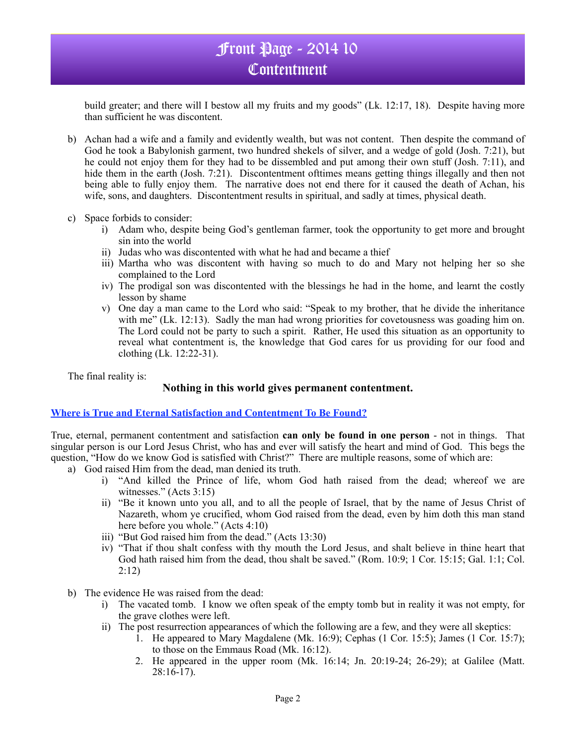build greater; and there will I bestow all my fruits and my goods" (Lk. 12:17, 18). Despite having more than sufficient he was discontent.

- b) Achan had a wife and a family and evidently wealth, but was not content. Then despite the command of God he took a Babylonish garment, two hundred shekels of silver, and a wedge of gold (Josh. 7:21), but he could not enjoy them for they had to be dissembled and put among their own stuff (Josh. 7:11), and hide them in the earth (Josh. 7:21). Discontentment ofttimes means getting things illegally and then not being able to fully enjoy them. The narrative does not end there for it caused the death of Achan, his wife, sons, and daughters. Discontentment results in spiritual, and sadly at times, physical death.
- c) Space forbids to consider:
	- i) Adam who, despite being God's gentleman farmer, took the opportunity to get more and brought sin into the world
	- ii) Judas who was discontented with what he had and became a thief
	- iii) Martha who was discontent with having so much to do and Mary not helping her so she complained to the Lord
	- iv) The prodigal son was discontented with the blessings he had in the home, and learnt the costly lesson by shame
	- v) One day a man came to the Lord who said: "Speak to my brother, that he divide the inheritance with me" (Lk. 12:13). Sadly the man had wrong priorities for covetousness was goading him on. The Lord could not be party to such a spirit. Rather, He used this situation as an opportunity to reveal what contentment is, the knowledge that God cares for us providing for our food and clothing (Lk. 12:22-31).

The final reality is:

## **Nothing in this world gives permanent contentment.**

### **Where is True and Eternal Satisfaction and Contentment To Be Found?**

True, eternal, permanent contentment and satisfaction **can only be found in one person** - not in things. That singular person is our Lord Jesus Christ, who has and ever will satisfy the heart and mind of God. This begs the question, "How do we know God is satisfied with Christ?" There are multiple reasons, some of which are:

- a) God raised Him from the dead, man denied its truth.
	- i) "And killed the Prince of life, whom God hath raised from the dead; whereof we are witnesses." (Acts 3:15)
	- ii) "Be it known unto you all, and to all the people of Israel, that by the name of Jesus Christ of Nazareth, whom ye crucified, whom God raised from the dead, even by him doth this man stand here before you whole." (Acts 4:10)
	- iii) "But God raised him from the dead." (Acts 13:30)
	- iv) "That if thou shalt confess with thy mouth the Lord Jesus, and shalt believe in thine heart that God hath raised him from the dead, thou shalt be saved." (Rom. 10:9; 1 Cor. 15:15; Gal. 1:1; Col. 2:12)
- b) The evidence He was raised from the dead:
	- i) The vacated tomb. I know we often speak of the empty tomb but in reality it was not empty, for the grave clothes were left.
	- ii) The post resurrection appearances of which the following are a few, and they were all skeptics:
		- 1. He appeared to Mary Magdalene (Mk. 16:9); Cephas (1 Cor. 15:5); James (1 Cor. 15:7); to those on the Emmaus Road (Mk. 16:12).
		- 2. He appeared in the upper room (Mk. 16:14; Jn. 20:19-24; 26-29); at Galilee (Matt. 28:16-17).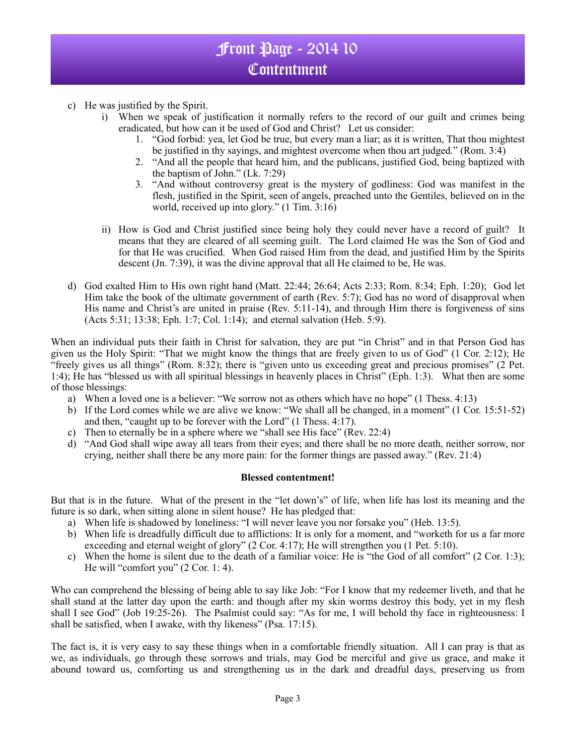- c) He was justified by the Spirit.
	- i) When we speak of justification it normally refers to the record of our guilt and crimes being eradicated, but how can it be used of God and Christ? Let us consider:
		- 1. "God forbid: yea, let God be true, but every man a liar; as it is written, That thou mightest be justified in thy sayings, and mightest overcome when thou art judged." (Rom. 3:4)
		- 2. "And all the people that heard him, and the publicans, justified God, being baptized with the baptism of John." (Lk. 7:29)
		- 3. "And without controversy great is the mystery of godliness: God was manifest in the flesh, justified in the Spirit, seen of angels, preached unto the Gentiles, believed on in the world, received up into glory." (1 Tim. 3:16)
	- ii) How is God and Christ justified since being holy they could never have a record of guilt? It means that they are cleared of all seeming guilt. The Lord claimed He was the Son of God and for that He was crucified. When God raised Him from the dead, and justified Him by the Spirits descent (Jn. 7:39), it was the divine approval that all He claimed to be, He was.
- d) God exalted Him to His own right hand (Matt. 22:44; 26:64; Acts 2:33; Rom. 8:34; Eph. 1:20); God let Him take the book of the ultimate government of earth (Rev. 5:7); God has no word of disapproval when His name and Christ's are united in praise (Rev. 5:11-14), and through Him there is forgiveness of sins (Acts 5:31; 13:38; Eph. 1:7; Col. 1:14); and eternal salvation (Heb. 5:9).

When an individual puts their faith in Christ for salvation, they are put "in Christ" and in that Person God has given us the Holy Spirit: "That we might know the things that are freely given to us of God" (1 Cor. 2:12); He "freely gives us all things" (Rom. 8:32); there is "given unto us exceeding great and precious promises" (2 Pet. 1:4); He has "blessed us with all spiritual blessings in heavenly places in Christ" (Eph. 1:3). What then are some of those blessings:

- a) When a loved one is a believer: "We sorrow not as others which have no hope" (1 Thess. 4:13)
- b) If the Lord comes while we are alive we know: "We shall all be changed, in a moment" (1 Cor. 15:51-52) and then, "caught up to be forever with the Lord" (1 Thess. 4:17).
- c) Then to eternally be in a sphere where we "shall see His face" (Rev. 22:4)
- d) "And God shall wipe away all tears from their eyes; and there shall be no more death, neither sorrow, nor crying, neither shall there be any more pain: for the former things are passed away." (Rev. 21:4)

### **Blessed contentment!**

But that is in the future. What of the present in the "let down's" of life, when life has lost its meaning and the future is so dark, when sitting alone in silent house? He has pledged that:

- a) When life is shadowed by loneliness: "I will never leave you nor forsake you" (Heb. 13:5).
- b) When life is dreadfully difficult due to afflictions: It is only for a moment, and "worketh for us a far more exceeding and eternal weight of glory" (2 Cor. 4:17); He will strengthen you (1 Pet. 5:10).
- c) When the home is silent due to the death of a familiar voice: He is "the God of all comfort" (2 Cor. 1:3); He will "comfort you" (2 Cor. 1: 4).

Who can comprehend the blessing of being able to say like Job: "For I know that my redeemer liveth, and that he shall stand at the latter day upon the earth: and though after my skin worms destroy this body, yet in my flesh shall I see God" (Job 19:25-26). The Psalmist could say: "As for me, I will behold thy face in righteousness: I shall be satisfied, when I awake, with thy likeness" (Psa. 17:15).

The fact is, it is very easy to say these things when in a comfortable friendly situation. All I can pray is that as we, as individuals, go through these sorrows and trials, may God be merciful and give us grace, and make it abound toward us, comforting us and strengthening us in the dark and dreadful days, preserving us from